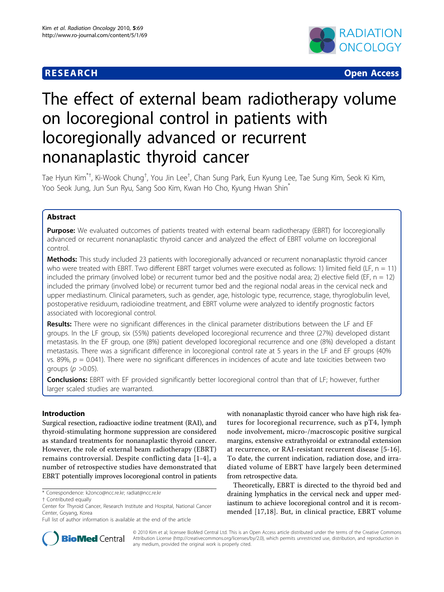# **RESEARCH CONSTRUCTION CONSTRUCTS**



# The effect of external beam radiotherapy volume on locoregional control in patients with locoregionally advanced or recurrent nonanaplastic thyroid cancer

Tae Hyun Kim $^{\ast+}$ , Ki-Wook Chung $^{\dag}$ , You Jin Lee $^{\dag}$ , Chan Sung Park, Eun Kyung Lee, Tae Sung Kim, Seok Ki Kim, Yoo Seok Jung, Jun Sun Ryu, Sang Soo Kim, Kwan Ho Cho, Kyung Hwan Shin\*

# Abstract

**Purpose:** We evaluated outcomes of patients treated with external beam radiotherapy (EBRT) for locoregionally advanced or recurrent nonanaplastic thyroid cancer and analyzed the effect of EBRT volume on locoregional control.

Methods: This study included 23 patients with locoregionally advanced or recurrent nonanaplastic thyroid cancer who were treated with EBRT. Two different EBRT target volumes were executed as follows: 1) limited field (LF,  $n = 11$ ) included the primary (involved lobe) or recurrent tumor bed and the positive nodal area; 2) elective field (EF,  $n = 12$ ) included the primary (involved lobe) or recurrent tumor bed and the regional nodal areas in the cervical neck and upper mediastinum. Clinical parameters, such as gender, age, histologic type, recurrence, stage, thyroglobulin level, postoperative residuum, radioiodine treatment, and EBRT volume were analyzed to identify prognostic factors associated with locoregional control.

Results: There were no significant differences in the clinical parameter distributions between the LF and EF groups. In the LF group, six (55%) patients developed locoregional recurrence and three (27%) developed distant metastasis. In the EF group, one (8%) patient developed locoregional recurrence and one (8%) developed a distant metastasis. There was a significant difference in locoregional control rate at 5 years in the LF and EF groups (40% vs. 89%,  $p = 0.041$ ). There were no significant differences in incidences of acute and late toxicities between two groups ( $p > 0.05$ ).

**Conclusions:** EBRT with EF provided significantly better locoregional control than that of LF; however, further larger scaled studies are warranted.

# Introduction

Surgical resection, radioactive iodine treatment (RAI), and thyroid-stimulating hormone suppression are considered as standard treatments for nonanaplastic thyroid cancer. However, the role of external beam radiotherapy (EBRT) remains controversial. Despite conflicting data [\[1](#page-6-0)-[4](#page-6-0)], a number of retrospective studies have demonstrated that EBRT potentially improves locoregional control in patients

with nonanaplastic thyroid cancer who have high risk features for locoregional recurrence, such as pT4, lymph node involvement, micro-/macroscopic positive surgical margins, extensive extrathyroidal or extranodal extension at recurrence, or RAI-resistant recurrent disease [\[5](#page-6-0)-[16](#page-6-0)]. To date, the current indication, radiation dose, and irradiated volume of EBRT have largely been determined from retrospective data.

Theoretically, EBRT is directed to the thyroid bed and draining lymphatics in the cervical neck and upper mediastinum to achieve locoregional control and it is recommended [[17,18](#page-7-0)]. But, in clinical practice, EBRT volume



© 2010 Kim et al; licensee BioMed Central Ltd. This is an Open Access article distributed under the terms of the Creative Commons Attribution License [\(http://creativecommons.org/licenses/by/2.0](http://creativecommons.org/licenses/by/2.0)), which permits unrestricted use, distribution, and reproduction in any medium, provided the original work is properly cited.

<sup>\*</sup> Correspondence: [k2onco@ncc.re.kr](mailto:k2onco@ncc.re.kr); [radiat@ncc.re.kr](mailto:radiat@ncc.re.kr)

<sup>†</sup> Contributed equally

Center for Thyroid Cancer, Research Institute and Hospital, National Cancer Center, Goyang, Korea

Full list of author information is available at the end of the article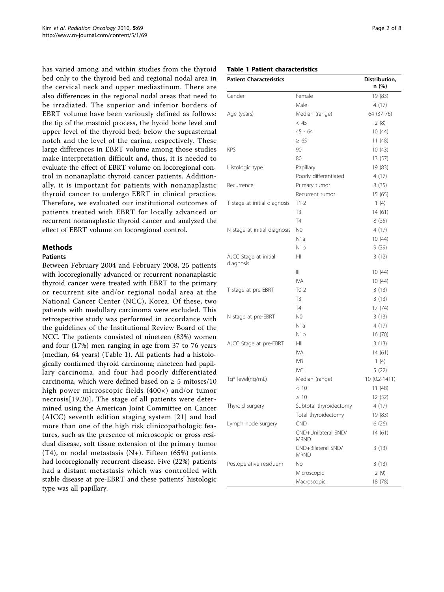has varied among and within studies from the thyroid bed only to the thyroid bed and regional nodal area in the cervical neck and upper mediastinum. There are also differences in the regional nodal areas that need to be irradiated. The superior and inferior borders of EBRT volume have been variously defined as follows: the tip of the mastoid process, the hyoid bone level and upper level of the thyroid bed; below the suprasternal notch and the level of the carina, respectively. These large differences in EBRT volume among those studies make interpretation difficult and, thus, it is needed to evaluate the effect of EBRT volume on locoregional control in nonanaplatic thyroid cancer patients. Additionally, it is important for patients with nonanaplastic thyroid cancer to undergo EBRT in clinical practice. Therefore, we evaluated our institutional outcomes of patients treated with EBRT for locally advanced or recurrent nonanaplastic thyroid cancer and analyzed the effect of EBRT volume on locoregional control.

# Methods

# Patients

Between February 2004 and February 2008, 25 patients with locoregionally advanced or recurrent nonanaplastic thyroid cancer were treated with EBRT to the primary or recurrent site and/or regional nodal area at the National Cancer Center (NCC), Korea. Of these, two patients with medullary carcinoma were excluded. This retrospective study was performed in accordance with the guidelines of the Institutional Review Board of the NCC. The patients consisted of nineteen (83%) women and four (17%) men ranging in age from 37 to 76 years (median, 64 years) (Table 1). All patients had a histologically confirmed thyroid carcinoma; nineteen had papillary carcinoma, and four had poorly differentiated carcinoma, which were defined based on  $\geq 5$  mitoses/10 high power microscopic fields (400×) and/or tumor necrosis[[19](#page-7-0),[20](#page-7-0)]. The stage of all patients were determined using the American Joint Committee on Cancer (AJCC) seventh edition staging system [[21\]](#page-7-0) and had more than one of the high risk clinicopathologic features, such as the presence of microscopic or gross residual disease, soft tissue extension of the primary tumor (T4), or nodal metastasis  $(N+)$ . Fifteen (65%) patients had locoregionally recurrent disease. Five (22%) patients had a distant metastasis which was controlled with stable disease at pre-EBRT and these patients' histologic type was all papillary.

Table 1 Patient characteristics

| <b>Patient Characteristics</b>     |                                            | Distribution,<br>n (%) |
|------------------------------------|--------------------------------------------|------------------------|
| Gender                             | Female                                     | 19 (83)                |
|                                    | Male                                       | 4 (17)                 |
| Age (years)                        | Median (range)                             | 64 (37-76)             |
|                                    | < 45                                       | 2(8)                   |
|                                    | $45 - 64$                                  | 10(44)                 |
|                                    | $\geq 65$                                  | 11(48)                 |
| <b>KPS</b>                         | 90                                         | 10(43)                 |
|                                    | 80                                         | 13 (57)                |
| Histologic type                    | Papillary                                  | 19 (83)                |
|                                    | Poorly differentiated                      | 4(17)                  |
| Recurrence                         | Primary tumor                              | 8(35)                  |
|                                    | Recurrent tumor                            | 15 (65)                |
| T stage at initial diagnosis       | $T1-2$                                     | 1(4)                   |
|                                    | T3                                         | 14 (61)                |
|                                    | <b>T4</b>                                  | 8(35)                  |
| N stage at initial diagnosis       | N <sub>0</sub>                             | 4(17)                  |
|                                    | N1a                                        | 10 (44)                |
|                                    | N1b                                        | 9(39)                  |
| AJCC Stage at initial<br>diagnosis | $\mathsf{l}\mathsf{-}\mathsf{l}\mathsf{l}$ | 3(12)                  |
|                                    | Ш                                          | 10 (44)                |
|                                    | <b>IVA</b>                                 | 10(44)                 |
| T stage at pre-EBRT                | $T0-2$                                     | 3(13)                  |
|                                    | T3                                         | 3(13)                  |
|                                    | <b>T4</b>                                  | 17 (74)                |
| N stage at pre-EBRT                | N <sub>0</sub>                             | 3(13)                  |
|                                    | N <sub>1</sub> a                           | 4(17)                  |
|                                    | N1b                                        | 16 (70)                |
| AJCC Stage at pre-EBRT             | H                                          | 3(13)                  |
|                                    | <b>IVA</b>                                 | 14 (61)                |
|                                    | IV <sub>B</sub>                            | 1(4)                   |
|                                    | IVC                                        | 5(22)                  |
| Tg* level(ng/mL)                   | Median (range)                             | 10 (0.2-1411)          |
|                                    | < 10                                       | 11 (48)                |
|                                    | $\geq 10$                                  | 12 (52)                |
| Thyroid surgery                    | Subtotal thyroidectomy                     | 4 (17)                 |
|                                    | Total thyroidectomy                        | 19 (83)                |
| Lymph node surgery                 | CND                                        | 6(26)                  |
|                                    | CND+Unilateral SND/<br><b>MRND</b>         | 14 (61)                |
|                                    | CND+Bilateral SND/<br><b>MRND</b>          | 3(13)                  |
| Postoperative residuum             | No                                         | 3(13)                  |
|                                    | Microscopic                                | 2(9)                   |
|                                    | Macroscopic                                | 18 (78)                |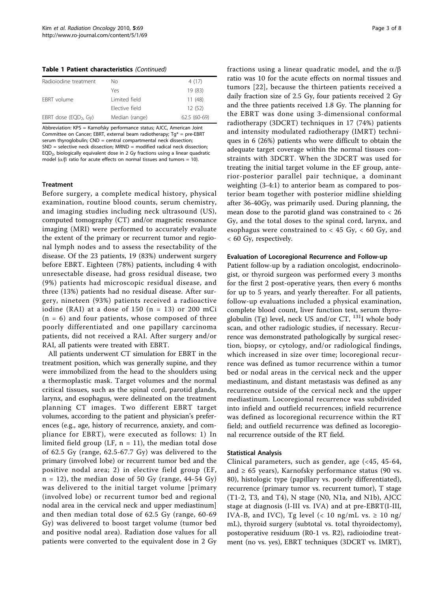Table 1 Patient characteristics (Continued)

| Radioiodine treatment             | Nο             | 4 (17)       |
|-----------------------------------|----------------|--------------|
|                                   | Yes            | 19 (83)      |
| FBRT volume                       | I imited field | 11(48)       |
|                                   | Flective field | 12(52)       |
| EBRT dose (EQD <sub>2</sub> , Gy) | Median (range) | 62.5 (60-69) |

Abbreviation: KPS = Karnofsky performance status; AJCC, American Joint Committee on Cancer; EBRT, external beam radiotherapy;  $Tg^* = pre-EBRT$ serum thyroglobulin; CND = central compartmental neck dissection; SND = selective neck dissection; MRND = modified radical neck dissection; EQD2, biologically equivalent dose in 2 Gy fractions using a linear quadratic model ( $\alpha$ / $\beta$  ratio for acute effects on normal tissues and tumors = 10).

#### **Treatment**

Before surgery, a complete medical history, physical examination, routine blood counts, serum chemistry, and imaging studies including neck ultrasound (US), computed tomography (CT) and/or magnetic resonance imaging (MRI) were performed to accurately evaluate the extent of the primary or recurrent tumor and regional lymph nodes and to assess the resectability of the disease. Of the 23 patients, 19 (83%) underwent surgery before EBRT. Eighteen (78%) patients, including 4 with unresectable disease, had gross residual disease, two (9%) patients had microscopic residual disease, and three (13%) patients had no residual disease. After surgery, nineteen (93%) patients received a radioactive iodine (RAI) at a dose of  $150$  (n = 13) or 200 mCi  $(n = 6)$  and four patients, whose composed of three poorly differentiated and one papillary carcinoma patients, did not received a RAI. After surgery and/or RAI, all patients were treated with EBRT.

All patients underwent CT simulation for EBRT in the treatment position, which was generally supine, and they were immobilized from the head to the shoulders using a thermoplastic mask. Target volumes and the normal critical tissues, such as the spinal cord, parotid glands, larynx, and esophagus, were delineated on the treatment planning CT images. Two different EBRT target volumes, according to the patient and physician's preferences (e.g., age, history of recurrence, anxiety, and compliance for EBRT), were executed as follows: 1) In limited field group (LF,  $n = 11$ ), the median total dose of 62.5 Gy (range, 62.5-67.7 Gy) was delivered to the primary (involved lobe) or recurrent tumor bed and the positive nodal area; 2) in elective field group (EF,  $n = 12$ ), the median dose of 50 Gy (range, 44-54 Gy) was delivered to the initial target volume [primary (involved lobe) or recurrent tumor bed and regional nodal area in the cervical neck and upper mediastinum] and then median total dose of 62.5 Gy (range, 60-69 Gy) was delivered to boost target volume (tumor bed and positive nodal area). Radiation dose values for all patients were converted to the equivalent dose in 2 Gy fractions using a linear quadratic model, and the  $\alpha/\beta$ ratio was 10 for the acute effects on normal tissues and tumors [[22](#page-7-0)], because the thirteen patients received a daily fraction size of 2.5 Gy, four patients received 2 Gy and the three patients received 1.8 Gy. The planning for the EBRT was done using 3-dimensional conformal radiotherapy (3DCRT) techniques in 17 (74%) patients and intensity modulated radiotherapy (IMRT) techniques in 6 (26%) patients who were difficult to obtain the adequate target coverage within the normal tissues constraints with 3DCRT. When the 3DCRT was used for treating the initial target volume in the EF group, anterior-posterior parallel pair technique, a dominant weighting (3-4:1) to anterior beam as compared to posterior beam together with posterior midline shielding after 36-40Gy, was primarily used. During planning, the mean dose to the parotid gland was constrained to  $<$  26 Gy, and the total doses to the spinal cord, larynx, and esophagus were constrained to  $<$  45 Gy,  $<$  60 Gy, and < 60 Gy, respectively.

#### Evaluation of Locoregional Recurrence and Follow-up

Patient follow-up by a radiation oncologist, endocrinologist, or thyroid surgeon was performed every 3 months for the first 2 post-operative years, then every 6 months for up to 5 years, and yearly thereafter. For all patients, follow-up evaluations included a physical examination, complete blood count, liver function test, serum thyroglobulin (Tg) level, neck US and/or  $CT$ ,  $^{131}$ I whole body scan, and other radiologic studies, if necessary. Recurrence was demonstrated pathologically by surgical resection, biopsy, or cytology, and/or radiological findings, which increased in size over time; locoregional recurrence was defined as tumor recurrence within a tumor bed or nodal areas in the cervical neck and the upper mediastinum, and distant metastasis was defined as any recurrence outside of the cervical neck and the upper mediastinum. Locoregional recurrence was subdivided into infield and outfield recurrences; infield recurrence was defined as locoregional recurrence within the RT field; and outfield recurrence was defined as locoregional recurrence outside of the RT field.

#### Statistical Analysis

Clinical parameters, such as gender, age (<45, 45-64, and  $\geq 65$  years), Karnofsky performance status (90 vs. 80), histologic type (papillary vs. poorly differentiated), recurrence (primary tumor vs. recurrent tumor), T stage (T1-2, T3, and T4), N stage (N0, N1a, and N1b), AJCC stage at diagnosis (I-III vs. IVA) and at pre-EBRT(I-III, IVA-B, and IVC), Tg level (< 10 ng/mL vs.  $\geq 10$  ng/ mL), thyroid surgery (subtotal vs. total thyroidectomy), postoperative residuum (R0-1 vs. R2), radioiodine treatment (no vs. yes), EBRT techniques (3DCRT vs. IMRT),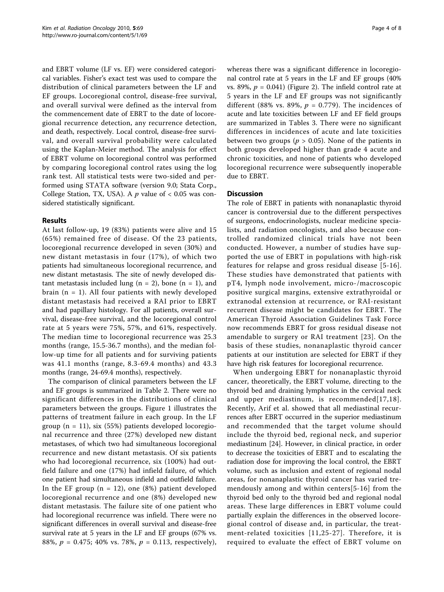and EBRT volume (LF vs. EF) were considered categorical variables. Fisher's exact test was used to compare the distribution of clinical parameters between the LF and EF groups. Locoregional control, disease-free survival, and overall survival were defined as the interval from the commencement date of EBRT to the date of locoregional recurrence detection, any recurrence detection, and death, respectively. Local control, disease-free survival, and overall survival probability were calculated using the Kaplan-Meier method. The analysis for effect of EBRT volume on locoregional control was performed by comparing locoregional control rates using the log rank test. All statistical tests were two-sided and performed using STATA software (version 9.0; Stata Corp., College Station, TX, USA). A  $p$  value of < 0.05 was considered statistically significant.

# Results

At last follow-up, 19 (83%) patients were alive and 15 (65%) remained free of disease. Of the 23 patients, locoregional recurrence developed in seven (30%) and new distant metastasis in four (17%), of which two patients had simultaneous locoregional recurrence, and new distant metastasis. The site of newly developed distant metastasis included lung ( $n = 2$ ), bone ( $n = 1$ ), and brain  $(n = 1)$ . All four patients with newly developed distant metastasis had received a RAI prior to EBRT and had papillary histology. For all patients, overall survival, disease-free survival, and the locoregional control rate at 5 years were 75%, 57%, and 61%, respectively. The median time to locoregional recurrence was 25.3 months (range, 15.5-36.7 months), and the median follow-up time for all patients and for surviving patients was 41.1 months (range, 8.3-69.4 months) and 43.3 months (range, 24-69.4 months), respectively.

The comparison of clinical parameters between the LF and EF groups is summarized in Table [2.](#page-4-0) There were no significant differences in the distributions of clinical parameters between the groups. Figure [1](#page-5-0) illustrates the patterns of treatment failure in each group. In the LF group  $(n = 11)$ , six (55%) patients developed locoregional recurrence and three (27%) developed new distant metastases, of which two had simultaneous locoregional recurrence and new distant metastasis. Of six patients who had locoregional recurrence, six (100%) had outfield failure and one (17%) had infield failure, of which one patient had simultaneous infield and outfield failure. In the EF group  $(n = 12)$ , one  $(8%)$  patient developed locoregional recurrence and one (8%) developed new distant metastasis. The failure site of one patient who had locoregional recurrence was infield. There were no significant differences in overall survival and disease-free survival rate at 5 years in the LF and EF groups (67% vs. 88%,  $p = 0.475$ ; 40% vs. 78%,  $p = 0.113$ , respectively), whereas there was a significant difference in locoregional control rate at 5 years in the LF and EF groups (40% vs. 89%,  $p = 0.041$ ) (Figure [2\)](#page-5-0). The infield control rate at 5 years in the LF and EF groups was not significantly different (88% vs. 89%,  $p = 0.779$ ). The incidences of acute and late toxicities between LF and EF field groups are summarized in Tables [3.](#page-5-0) There were no significant differences in incidences of acute and late toxicities between two groups ( $p > 0.05$ ). None of the patients in both groups developed higher than grade 4 acute and chronic toxicities, and none of patients who developed locoregional recurrence were subsequently inoperable due to EBRT.

# **Discussion**

The role of EBRT in patients with nonanaplastic thyroid cancer is controversial due to the different perspectives of surgeons, endocrinologists, nuclear medicine specialists, and radiation oncologists, and also because controlled randomized clinical trials have not been conducted. However, a number of studies have supported the use of EBRT in populations with high-risk features for relapse and gross residual disease [[5-16](#page-6-0)]. These studies have demonstrated that patients with pT4, lymph node involvement, micro-/macroscopic positive surgical margins, extensive extrathyroidal or extranodal extension at recurrence, or RAI-resistant recurrent disease might be candidates for EBRT. The American Thyroid Association Guidelines Task Force now recommends EBRT for gross residual disease not amendable to surgery or RAI treatment [[23](#page-7-0)]. On the basis of these studies, nonanaplastic thyroid cancer patients at our institution are selected for EBRT if they have high risk features for locoregional recurrence.

When undergoing EBRT for nonanaplastic thyroid cancer, theoretically, the EBRT volume, directing to the thyroid bed and draining lymphatics in the cervical neck and upper mediastinum, is recommended[[17](#page-7-0),[18\]](#page-7-0). Recently, Arif et al. showed that all mediastinal recurrences after EBRT occurred in the superior mediastinum and recommended that the target volume should include the thyroid bed, regional neck, and superior mediastinum [\[24\]](#page-7-0). However, in clinical practice, in order to decrease the toxicities of EBRT and to escalating the radiation dose for improving the local control, the EBRT volume, such as inclusion and extent of regional nodal areas, for nonanaplastic thyroid cancer has varied tremendously among and within centers[[5](#page-6-0)-[16](#page-6-0)] from the thyroid bed only to the thyroid bed and regional nodal areas. These large differences in EBRT volume could partially explain the differences in the observed locoregional control of disease and, in particular, the treatment-related toxicities [[11](#page-6-0),[25-27\]](#page-7-0). Therefore, it is required to evaluate the effect of EBRT volume on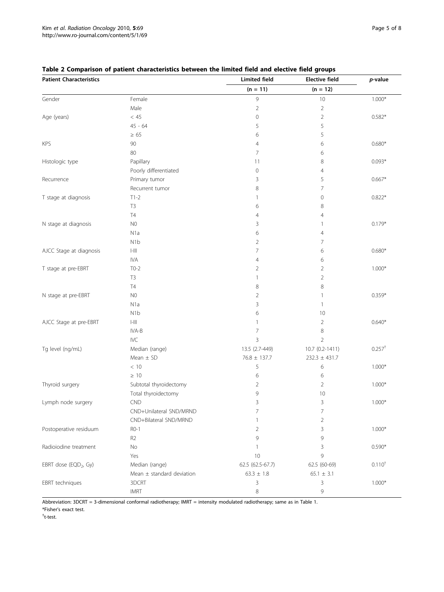| <b>Patient Characteristics</b>    |                                                  | <b>Limited field</b> | <b>Elective field</b> | p-value           |
|-----------------------------------|--------------------------------------------------|----------------------|-----------------------|-------------------|
|                                   |                                                  | $(n = 11)$           | $(n = 12)$            |                   |
| Gender                            | Female                                           | 9                    | $10$                  | $1.000*$          |
|                                   | Male                                             | $\sqrt{2}$           | $\overline{2}$        |                   |
| Age (years)                       | $<\,45$                                          | $\mathbf 0$          | $\overline{2}$        | $0.582*$          |
|                                   | $45 - 64$                                        | 5                    | 5                     |                   |
|                                   | $\geq 65$                                        | 6                    | 5                     |                   |
| <b>KPS</b>                        | 90                                               | 4                    | 6                     | $0.680*$          |
|                                   | 80                                               | 7                    | 6                     |                   |
| Histologic type                   | Papillary                                        | 11                   | 8                     | $0.093*$          |
|                                   | Poorly differentiated                            | 0                    | $\overline{4}$        |                   |
| Recurrence                        | Primary tumor                                    | 3                    | 5                     | $0.667*$          |
|                                   | Recurrent tumor                                  | 8                    | 7                     |                   |
| T stage at diagnosis              | $T1-2$                                           | 1                    | $\mathbf 0$           | $0.822*$          |
|                                   | T <sub>3</sub>                                   | 6                    | 8                     |                   |
|                                   | $\mathsf{T}4$                                    | 4                    | $\overline{4}$        |                   |
| N stage at diagnosis              | N <sub>0</sub>                                   | 3                    | 1                     | $0.179*$          |
|                                   | N <sub>1</sub> a                                 | 6                    | 4                     |                   |
|                                   | N <sub>1</sub> b                                 | $\overline{2}$       | 7                     |                   |
| AJCC Stage at diagnosis           | $\left\Vert -\right\Vert \left\Vert \right\Vert$ | 7                    | 6                     | $0.680*$          |
|                                   | <b>IVA</b>                                       | 4                    | 6                     |                   |
| T stage at pre-EBRT               | $T0-2$                                           | 2                    | $\overline{2}$        | $1.000*$          |
|                                   | T <sub>3</sub>                                   | 1                    | $\overline{2}$        |                   |
|                                   | <b>T4</b>                                        | 8                    | 8                     |                   |
| N stage at pre-EBRT               | N <sub>0</sub>                                   | 2                    | 1                     | $0.359*$          |
|                                   | N <sub>1</sub> a                                 | 3                    | $\mathbf{1}$          |                   |
|                                   | N <sub>1</sub> b                                 | 6                    | 10                    |                   |
| AJCC Stage at pre-EBRT            | $\left\vert -\right\vert \left\vert \right\vert$ | 1                    | $\overline{2}$        | $0.640*$          |
|                                   | IVA-B                                            | 7                    | 8                     |                   |
|                                   | IVC                                              | 3                    | $\overline{2}$        |                   |
| Tg level (ng/mL)                  | Median (range)                                   | 13.5 (2.7-449)       | 10.7 (0.2-1411)       | $0.257^{\dagger}$ |
|                                   | Mean $\pm$ SD                                    | $76.8 \pm 137.7$     | $232.3 \pm 431.7$     |                   |
|                                   | $<10$                                            | 5                    | 6                     | $1.000*$          |
|                                   | $\geq 10$                                        | 6                    | 6                     |                   |
| Thyroid surgery                   | Subtotal thyroidectomy                           | 2                    | 2                     | $1.000*$          |
|                                   | Total thyroidectomy                              | 9                    | 10                    |                   |
| Lymph node surgery                | <b>CND</b>                                       | 3                    | 3                     | $1.000*$          |
|                                   | CND+Unilateral SND/MRND                          | 7                    | $\overline{7}$        |                   |
|                                   | CND+Bilateral SND/MRND                           | 1                    | $\overline{2}$        |                   |
| Postoperative residuum            | $RO-1$                                           | 2                    | 3                     | $1.000*$          |
|                                   | R <sub>2</sub>                                   | 9                    | 9                     |                   |
| Radioiodine treatment             | No                                               | 1                    | 3                     | $0.590*$          |
|                                   | Yes                                              | $10$                 | 9                     |                   |
| EBRT dose (EQD <sub>2</sub> , Gy) | Median (range)                                   | 62.5 (62.5-67.7)     | 62.5 (60-69)          | $0.110^{+}$       |
|                                   | Mean $\pm$ standard deviation                    | $63.3 \pm 1.8$       | $65.1 \pm 3.1$        |                   |
| EBRT techniques                   | 3DCRT                                            | 3                    | 3                     | $1.000*$          |
|                                   | <b>IMRT</b>                                      | 8                    | 9                     |                   |

# <span id="page-4-0"></span>Table 2 Comparison of patient characteristics between the limited field and elective field groups

Abbreviation: 3DCRT = 3-dimensional conformal radiotherapy; IMRT = intensity modulated radiotherapy; same as in Table 1. \*Fisher's exact test.

† t-test.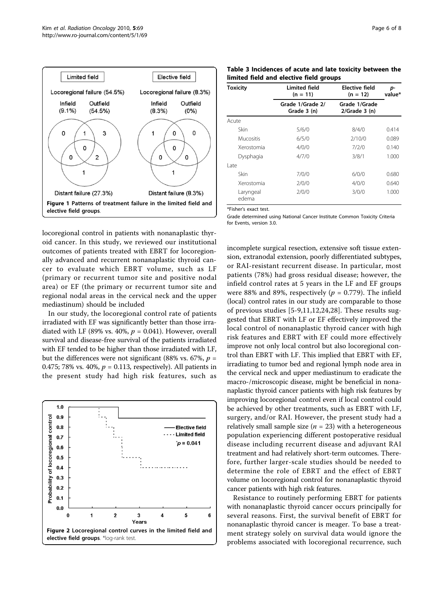<span id="page-5-0"></span>

locoregional control in patients with nonanaplastic thyroid cancer. In this study, we reviewed our institutional outcomes of patients treated with EBRT for locoregionally advanced and recurrent nonanaplastic thyroid cancer to evaluate which EBRT volume, such as LF (primary or recurrent tumor site and positive nodal area) or EF (the primary or recurrent tumor site and regional nodal areas in the cervical neck and the upper mediastinum) should be included

In our study, the locoregional control rate of patients irradiated with EF was significantly better than those irradiated with LF (89% vs. 40%,  $p = 0.041$ ). However, overall survival and disease-free survival of the patients irradiated with EF tended to be higher than those irradiated with LF, but the differences were not significant (88% vs. 67%,  $p =$ 0.475; 78% vs. 40%,  $p = 0.113$ , respectively). All patients in the present study had high risk features, such as



Table 3 Incidences of acute and late toxicity between the limited field and elective field groups

| <b>Toxicity</b>    | <b>Limited field</b><br>$(n = 11)$ | Elective field<br>$(n = 12)$     | p-<br>value* |
|--------------------|------------------------------------|----------------------------------|--------------|
|                    | Grade 1/Grade 2/<br>Grade 3 (n)    | Grade 1/Grade<br>$2/Grade$ 3 (n) |              |
| Acute              |                                    |                                  |              |
| Skin               | 5/6/0                              | 8/4/0                            | 0.414        |
| Mucositis          | 6/5/0                              | 2/10/0                           | 0.089        |
| Xerostomia         | 4/0/0                              | 7/2/0                            | 0.140        |
| Dysphagia          | 4/7/0                              | 3/8/1                            | 1.000        |
| l ate              |                                    |                                  |              |
| Skin               | 7/0/0                              | 6/0/0                            | 0.680        |
| Xerostomia         | 7/0/0                              | 4/0/0                            | 0.640        |
| Laryngeal<br>edema | 2/0/0                              | 3/0/0                            | 1.000        |

\*Fisher's exact test.

Grade determined using National Cancer Institute Common Toxicity Criteria for Events, version 3.0.

incomplete surgical resection, extensive soft tissue extension, extranodal extension, poorly differentiated subtypes, or RAI-resistant recurrent disease. In particular, most patients (78%) had gross residual disease; however, the infield control rates at 5 years in the LF and EF groups were 88% and 89%, respectively ( $p = 0.779$ ). The infield (local) control rates in our study are comparable to those of previous studies [[5](#page-6-0)-[9,11](#page-6-0),[12,](#page-6-0)[24,28](#page-7-0)]. These results suggested that EBRT with LF or EF effectively improved the local control of nonanaplastic thyroid cancer with high risk features and EBRT with EF could more effectively improve not only local control but also locoregional control than EBRT with LF. This implied that EBRT with EF, irradiating to tumor bed and regional lymph node area in the cervical neck and upper mediastinum to eradicate the macro-/microscopic disease, might be beneficial in nonanaplastic thyroid cancer patients with high risk features by improving locoregional control even if local control could be achieved by other treatments, such as EBRT with LF, surgery, and/or RAI. However, the present study had a relatively small sample size ( $n = 23$ ) with a heterogeneous population experiencing different postoperative residual disease including recurrent disease and adjuvant RAI treatment and had relatively short-term outcomes. Therefore, further larger-scale studies should be needed to determine the role of EBRT and the effect of EBRT volume on locoregional control for nonanaplastic thyroid cancer patients with high risk features.

Resistance to routinely performing EBRT for patients with nonanaplastic thyroid cancer occurs principally for several reasons. First, the survival benefit of EBRT for nonanaplastic thyroid cancer is meager. To base a treatment strategy solely on survival data would ignore the problems associated with locoregional recurrence, such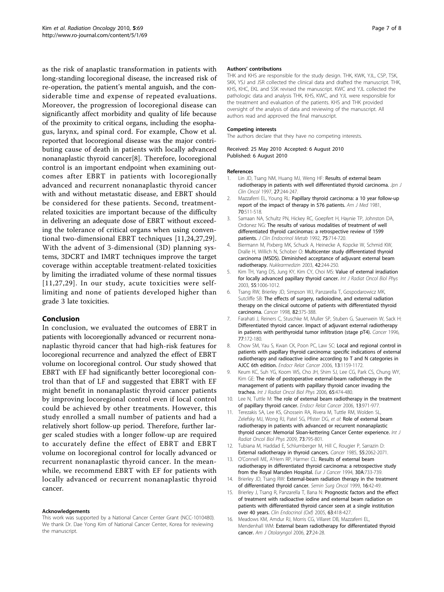<span id="page-6-0"></span>as the risk of anaplastic transformation in patients with long-standing locoregional disease, the increased risk of re-operation, the patient's mental anguish, and the considerable time and expense of repeated evaluations. Moreover, the progression of locoregional disease can significantly affect morbidity and quality of life because of the proximity to critical organs, including the esophagus, larynx, and spinal cord. For example, Chow et al. reported that locoregional disease was the major contributing cause of death in patients with locally advanced nonanaplastic thyroid cancer[8]. Therefore, locoregional control is an important endpoint when examining outcomes after EBRT in patients with locoregionally advanced and recurrent nonanaplastic thyroid cancer with and without metastatic disease, and EBRT should be considered for these patients. Second, treatmentrelated toxicities are important because of the difficulty in delivering an adequate dose of EBRT without exceeding the tolerance of critical organs when using conventional two-dimensional EBRT techniques [11[,24](#page-7-0),[27,29](#page-7-0)]. With the advent of 3-dimensional (3D) planning systems, 3DCRT and IMRT techniques improve the target coverage within acceptable treatment-related toxicities by limiting the irradiated volume of these normal tissues [11,[27](#page-7-0),[29\]](#page-7-0). In our study, acute toxicities were selflimiting and none of patients developed higher than grade 3 late toxicities.

# Conclusion

In conclusion, we evaluated the outcomes of EBRT in patients with locoregionally advanced or recurrent nonanaplastic thyroid cancer that had high-risk features for locoregional recurrence and analyzed the effect of EBRT volume on locoregional control. Our study showed that EBRT with EF had significantly better locoregional control than that of LF and suggested that EBRT with EF might benefit in nonanaplastic thyroid cancer patients by improving locoregional control even if local control could be achieved by other treatments. However, this study enrolled a small number of patients and had a relatively short follow-up period. Therefore, further larger scaled studies with a longer follow-up are required to accurately define the effect of EBRT and EBRT volume on locoregional control for locally advanced or recurrent nonanaplastic thyroid cancer. In the meanwhile, we recommend EBRT with EF for patients with locally advanced or recurrent nonanaplastic thyroid cancer.

#### Acknowledgements

This work was supported by a National Cancer Center Grant (NCC-1010480). We thank Dr. Dae Yong Kim of National Cancer Center, Korea for reviewing the manuscript.

#### Authors' contributions

THK and KHS are responsible for the study design. THK, KWK, YJL, CSP, TSK, SKK, YSJ and JSR collected the clinical data and drafted the manuscript. THK, KHS, KHC, EKL and SSK revised the manuscript. KWC and YJL collected the pathologic data and analysis THK, KHS, KWC, and YJL were responsible for the treatment and evaluation of the patients. KHS and THK provided oversight of the analysis of data and reviewing of the manuscript. All authors read and approved the final manuscript.

#### Competing interests

The authors declare that they have no competing interests.

Received: 25 May 2010 Accepted: 6 August 2010 Published: 6 August 2010

#### References

- 1. Lin JD, Tsang NM, Huang MJ, Weng HF: [Results of external beam](http://www.ncbi.nlm.nih.gov/pubmed/9379512?dopt=Abstract) [radiotherapy in patients with well differentiated thyroid carcinoma.](http://www.ncbi.nlm.nih.gov/pubmed/9379512?dopt=Abstract) Jpn J Clin Oncol 1997, 27:244-247.
- 2. Mazzaferri EL, Young RL: [Papillary thyroid carcinoma: a 10 year follow-up](http://www.ncbi.nlm.nih.gov/pubmed/7211893?dopt=Abstract) [report of the impact of therapy in 576 patients.](http://www.ncbi.nlm.nih.gov/pubmed/7211893?dopt=Abstract) Am J Med 1981, 70:511-518.
- 3. Samaan NA, Schultz PN, Hickey RC, Goepfert H, Haynie TP, Johnston DA, Ordonez NG: [The results of various modalities of treatment of well](http://www.ncbi.nlm.nih.gov/pubmed/1517360?dopt=Abstract) [differentiated thyroid carcinomas: a retrospective review of 1599](http://www.ncbi.nlm.nih.gov/pubmed/1517360?dopt=Abstract) [patients.](http://www.ncbi.nlm.nih.gov/pubmed/1517360?dopt=Abstract) J Clin Endocrinol Metab 1992, 75:714-720.
- 4. Biermann M, Pixberg MK, Schuck A, Heinecke A, Kopcke W, Schmid KW, Dralle H, Willich N, Schober O: [Multicenter study differentiated thyroid](http://www.ncbi.nlm.nih.gov/pubmed/14668957?dopt=Abstract) [carcinoma \(MSDS\). Diminished acceptance of adjuvant external beam](http://www.ncbi.nlm.nih.gov/pubmed/14668957?dopt=Abstract) [radiotherapy.](http://www.ncbi.nlm.nih.gov/pubmed/14668957?dopt=Abstract) Nuklearmedizin 2003, 42:244-250.
- 5. Kim TH, Yang DS, Jung KY, Kim CY, Choi MS: [Value of external irradiation](http://www.ncbi.nlm.nih.gov/pubmed/12605980?dopt=Abstract) [for locally advanced papillary thyroid cancer.](http://www.ncbi.nlm.nih.gov/pubmed/12605980?dopt=Abstract) Int J Radiat Oncol Biol Phys 2003, 55:1006-1012.
- 6. Tsang RW, Brierley JD, Simpson WJ, Panzarella T, Gospodarowicz MK, Sutcliffe SB: [The effects of surgery, radioiodine, and external radiation](http://www.ncbi.nlm.nih.gov/pubmed/9445196?dopt=Abstract) [therapy on the clinical outcome of patients with differentiated thyroid](http://www.ncbi.nlm.nih.gov/pubmed/9445196?dopt=Abstract) [carcinoma.](http://www.ncbi.nlm.nih.gov/pubmed/9445196?dopt=Abstract) Cancer 1998, 82:375-388.
- 7. Farahati J, Reiners C, Stuschke M, Muller SP, Stuben G, Sauerwein W, Sack H: [Differentiated thyroid cancer. Impact of adjuvant external radiotherapy](http://www.ncbi.nlm.nih.gov/pubmed/8630926?dopt=Abstract) [in patients with perithyroidal tumor infiltration \(stage pT4\).](http://www.ncbi.nlm.nih.gov/pubmed/8630926?dopt=Abstract) Cancer 1996, 77:172-180.
- 8. Chow SM, Yau S, Kwan CK, Poon PC, Law SC: [Local and regional control in](http://www.ncbi.nlm.nih.gov/pubmed/17158761?dopt=Abstract) [patients with papillary thyroid carcinoma: specific indications of external](http://www.ncbi.nlm.nih.gov/pubmed/17158761?dopt=Abstract) [radiotherapy and radioactive iodine according to T and N categories in](http://www.ncbi.nlm.nih.gov/pubmed/17158761?dopt=Abstract) [AJCC 6th edition.](http://www.ncbi.nlm.nih.gov/pubmed/17158761?dopt=Abstract) Endocr Relat Cancer 2006, 13:1159-1172.
- 9. Keum KC, Suh YG, Koom WS, Cho JH, Shim SJ, Lee CG, Park CS, Chung WY, Kim GE: [The role of postoperative external-beam radiotherapy in the](http://www.ncbi.nlm.nih.gov/pubmed/16542796?dopt=Abstract) [management of patients with papillary thyroid cancer invading the](http://www.ncbi.nlm.nih.gov/pubmed/16542796?dopt=Abstract) [trachea.](http://www.ncbi.nlm.nih.gov/pubmed/16542796?dopt=Abstract) Int J Radiat Oncol Biol Phys 2006, 65:474-480.
- 10. Lee N, Tuttle M: [The role of external beam radiotherapy in the treatment](http://www.ncbi.nlm.nih.gov/pubmed/17158749?dopt=Abstract) [of papillary thyroid cancer.](http://www.ncbi.nlm.nih.gov/pubmed/17158749?dopt=Abstract) Endocr Relat Cancer 2006, 13:971-977.
- 11. Terezakis SA, Lee KS, Ghossein RA, Rivera M, Tuttle RM, Wolden SL, Zelefsky MJ, Wong RJ, Patel SG, Pfister DG, et al: [Role of external beam](http://www.ncbi.nlm.nih.gov/pubmed/18676097?dopt=Abstract) [radiotherapy in patients with advanced or recurrent nonanaplastic](http://www.ncbi.nlm.nih.gov/pubmed/18676097?dopt=Abstract) [thyroid cancer: Memorial Sloan-kettering Cancer Center experience.](http://www.ncbi.nlm.nih.gov/pubmed/18676097?dopt=Abstract) Int J Radiat Oncol Biol Phys 2009, 73:795-801.
- 12. Tubiana M, Haddad E, Schlumberger M, Hill C, Rougier P, Sarrazin D: [External radiotherapy in thyroid cancers.](http://www.ncbi.nlm.nih.gov/pubmed/3919920?dopt=Abstract) Cancer 1985, 55:2062-2071.
- 13. O'Connell ME, A'Hern RP, Harmer CL: [Results of external beam](http://www.ncbi.nlm.nih.gov/pubmed/7917529?dopt=Abstract) [radiotherapy in differentiated thyroid carcinoma: a retrospective study](http://www.ncbi.nlm.nih.gov/pubmed/7917529?dopt=Abstract) [from the Royal Marsden Hospital.](http://www.ncbi.nlm.nih.gov/pubmed/7917529?dopt=Abstract) Eur J Cancer 1994, 30A:733-739.
- 14. Brierley JD, Tsang RW: [External-beam radiation therapy in the treatment](http://www.ncbi.nlm.nih.gov/pubmed/9890739?dopt=Abstract) [of differentiated thyroid cancer.](http://www.ncbi.nlm.nih.gov/pubmed/9890739?dopt=Abstract) Semin Surg Oncol 1999, 16:42-49.
- 15. Brierley J, Tsang R, Panzarella T, Bana N: [Prognostic factors and the effect](http://www.ncbi.nlm.nih.gov/pubmed/16181234?dopt=Abstract) [of treatment with radioactive iodine and external beam radiation on](http://www.ncbi.nlm.nih.gov/pubmed/16181234?dopt=Abstract) [patients with differentiated thyroid cancer seen at a single institution](http://www.ncbi.nlm.nih.gov/pubmed/16181234?dopt=Abstract) [over 40 years.](http://www.ncbi.nlm.nih.gov/pubmed/16181234?dopt=Abstract) Clin Endocrinol (Oxf) 2005, 63:418-427.
- 16. Meadows KM, Amdur RJ, Morris CG, Villaret DB, Mazzaferri EL, Mendenhall WM: [External beam radiotherapy for differentiated thyroid](http://www.ncbi.nlm.nih.gov/pubmed/16360819?dopt=Abstract) [cancer.](http://www.ncbi.nlm.nih.gov/pubmed/16360819?dopt=Abstract) Am J Otolaryngol 2006, 27:24-28.